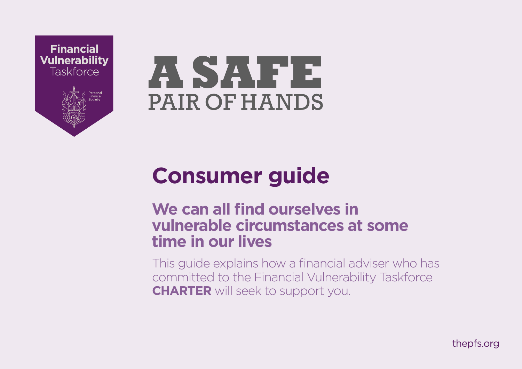



# **Consumer guide**

# **We can all find ourselves in vulnerable circumstances at some time in our lives**

This guide explains how a financial adviser who has committed to the Financial Vulnerability Taskforce **CHARTER** will seek to support you.

[thepfs.org](http://thepfs.org)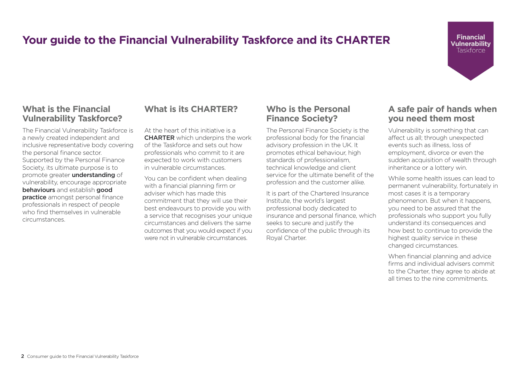# **Your guide to the Financial Vulnerability Taskforce and its CHARTER**

### **What is the Financial Vulnerability Taskforce?**

The Financial Vulnerability Taskforce is a newly created independent and inclusive representative body covering the personal finance sector. Supported by the Personal Finance Society, its ultimate purpose is to promote greater **understanding** of vulnerability, encourage appropriate behaviours and establish good **practice** amongst personal finance professionals in respect of people who find themselves in vulnerable circumstances.

### **What is its CHARTER?**

At the heart of this initiative is a **CHARTER** which underpins the work of the Taskforce and sets out how professionals who commit to it are expected to work with customers in vulnerable circumstances.

You can be confident when dealing with a financial planning firm or adviser which has made this commitment that they will use their best endeavours to provide you with a service that recognises your unique circumstances and delivers the same outcomes that you would expect if you were not in vulnerable circumstances.

### **Who is the Personal Finance Society?**

The Personal Finance Society is the professional body for the financial advisory profession in the UK. It promotes ethical behaviour, high standards of professionalism, technical knowledge and client service for the ultimate benefit of the profession and the customer alike.

It is part of the Chartered Insurance Institute, the world's largest professional body dedicated to insurance and personal finance, which seeks to secure and justify the confidence of the public through its Royal Charter.

### **A safe pair of hands when you need them most**

**Financial Vulnerability Taskforce** 

Vulnerability is something that can affect us all; through unexpected events such as illness, loss of employment, divorce or even the sudden acquisition of wealth through inheritance or a lottery win.

While some health issues can lead to permanent vulnerability, fortunately in most cases it is a temporary phenomenon. But when it happens, you need to be assured that the professionals who support you fully understand its consequences and how best to continue to provide the highest quality service in these changed circumstances.

When financial planning and advice firms and individual advisers commit to the Charter, they agree to abide at all times to the nine commitments.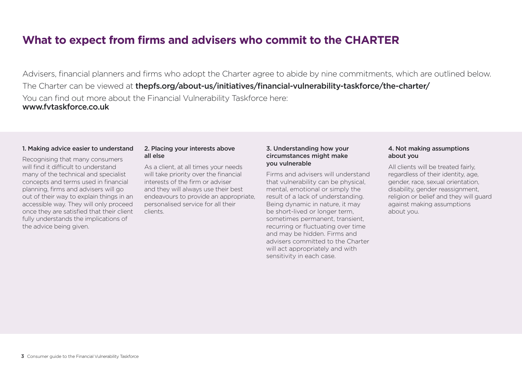## **What to expect from firms and advisers who commit to the CHARTER**

Advisers, financial planners and firms who adopt the Charter agree to abide by nine commitments, which are outlined below. The Charter can be viewed at [thepfs.org/about-us/initiatives/financial-vulnerability-taskforce/the-charter/](https://www.thepfs.org/about-us/initiatives/financial-vulnerability-taskforce/the-charter/) You can find out more about the Financial Vulnerability Taskforce here: www.fytaskforce.co.uk

#### 1. Making advice easier to understand

Recognising that many consumers will find it difficult to understand many of the technical and specialist concepts and terms used in financial planning, firms and advisers will go out of their way to explain things in an accessible way. They will only proceed once they are satisfied that their client fully understands the implications of the advice being given.

#### 2. Placing your interests above all else

As a client, at all times your needs will take priority over the financial interests of the firm or adviser and they will always use their best endeavours to provide an appropriate, personalised service for all their clients.

### 3. Understanding how your circumstances might make you vulnerable

Firms and advisers will understand that vulnerability can be physical, mental, emotional or simply the result of a lack of understanding. Being dynamic in nature, it may be short-lived or longer term, sometimes permanent, transient, recurring or fluctuating over time and may be hidden. Firms and advisers committed to the Charter will act appropriately and with sensitivity in each case.

### 4. Not making assumptions about you

All clients will be treated fairly, regardless of their identity, age, gender, race, sexual orientation, disability, gender reassignment, religion or belief and they will guard against making assumptions about you.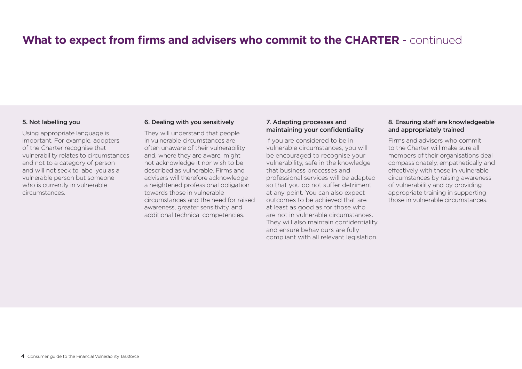# **What to expect from firms and advisers who commit to the CHARTER** - continued

#### 5. Not labelling you

Using appropriate language is important. For example, adopters of the Charter recognise that vulnerability relates to circumstances and not to a category of person and will not seek to label you as a vulnerable person but someone who is currently in vulnerable circumstances.

#### 6. Dealing with you sensitively

They will understand that people in vulnerable circumstances are often unaware of their vulnerability and, where they are aware, might not acknowledge it nor wish to be described as vulnerable. Firms and advisers will therefore acknowledge a heightened professional obligation towards those in vulnerable circumstances and the need for raised awareness, greater sensitivity, and additional technical competencies.

#### 7. Adapting processes and maintaining your confidentiality

If you are considered to be in vulnerable circumstances, you will be encouraged to recognise your vulnerability, safe in the knowledge that business processes and professional services will be adapted so that you do not suffer detriment at any point. You can also expect outcomes to be achieved that are at least as good as for those who are not in vulnerable circumstances. They will also maintain confidentiality and ensure behaviours are fully compliant with all relevant legislation.

### 8. Ensuring staff are knowledgeable and appropriately trained

Firms and advisers who commit to the Charter will make sure all members of their organisations deal compassionately, empathetically and effectively with those in vulnerable circumstances by raising awareness of vulnerability and by providing appropriate training in supporting those in vulnerable circumstances.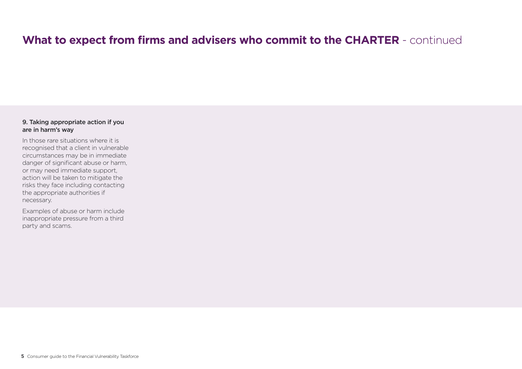# **What to expect from firms and advisers who commit to the CHARTER** - continued

### 9. Taking appropriate action if you are in harm's way

In those rare situations where it is recognised that a client in vulnerable circumstances may be in immediate danger of significant abuse or harm, or may need immediate support, action will be taken to mitigate the risks they face including contacting the appropriate authorities if necessary.

Examples of abuse or harm include inappropriate pressure from a third party and scams.